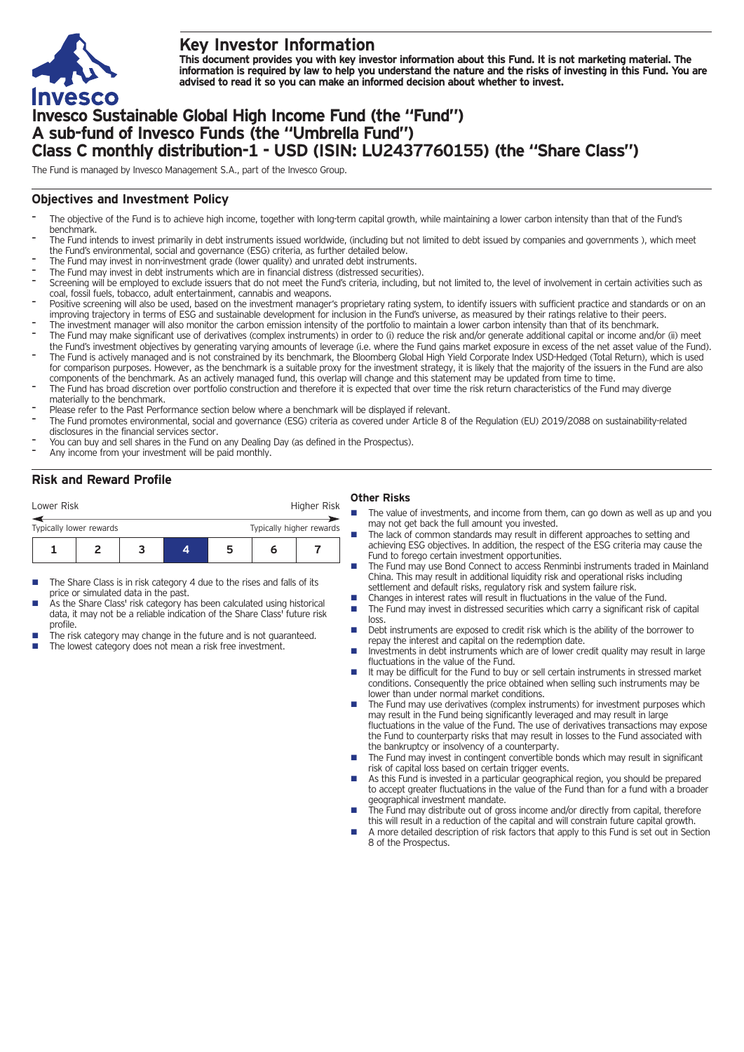

# **Key Investor Information**

This document provides you with key investor information about this Fund. It is not marketing material. The information is required by law to help you understand the nature and the risks of investing in this Fund. You are **advised to read it so you can make an informed decision about whether to invest.**

# **Invesco Sustainable Global High Income Fund (the "Fund") A sub-fund of Invesco Funds (the "Umbrella Fund") Class C monthly distribution-1 - USD (ISIN: LU2437760155) (the "Share Class")**

The Fund is managed by Invesco Management S.A., part of the Invesco Group.

## **Objectives and Investment Policy**

- The objective of the Fund is to achieve high income, together with long-term capital growth, while maintaining a lower carbon intensity than that of the Fund's benchmark.
- The Fund intends to invest primarily in debt instruments issued worldwide, (including but not limited to debt issued by companies and governments), which meet the Fund's environmental, social and governance (ESG) criteria, as further detailed below.
- The Fund may invest in non-investment grade (lower quality) and unrated debt instruments.
- The Fund may invest in debt instruments which are in financial distress (distressed securities).
- Screening will be employed to exclude issuers that do not meet the Fund's criteria, including, but not limited to, the level of involvement in certain activities such as coal, fossil fuels, tobacco, adult entertainment, cannabis and weapons.
- Positive screening will also be used, based on the investment manager's proprietary rating system, to identify issuers with sufficient practice and standards or on an improving trajectory in terms of ESG and sustainable development for inclusion in the Fund's universe, as measured by their ratings relative to their peers.
- The investment manager will also monitor the carbon emission intensity of the portfolio to maintain a lower carbon intensity than that of its benchmark. The Fund may make significant use of derivatives (complex instruments) in order to (i) reduce the risk and/or generate additional capital or income and/or (ii) meet
- the Fund's investment objectives by generating varying amounts of leverage (i.e. where the Fund gains market exposure in excess of the net asset value of the Fund). The Fund is actively managed and is not constrained by its benchmark, the Bloomberg Global High Yield Corporate Index USD-Hedged (Total Return), which is used for comparison purposes. However, as the benchmark is a suitable proxy for the investment strategy, it is likely that the majority of the issuers in the Fund are also
- components of the benchmark. As an actively managed fund, this overlap will change and this statement may be updated from time to time. The Fund has broad discretion over portfolio construction and therefore it is expected that over time the risk return characteristics of the Fund may diverge materially to the benchmark.
- Please refer to the Past Performance section below where a benchmark will be displayed if relevant.
- The Fund promotes environmental, social and governance (ESG) criteria as covered under Article <sup>8</sup> of the Regulation (EU) 2019/2088 on sustainability-related disclosures in the financial services sector.
- You can buy and sell shares in the Fund on any Dealing Day (as defined in the Prospectus).
- Any income from your investment will be paid monthly.

# **Risk and Reward Profile**

### **Other Risks**

| Lower Risk              |  |  | Higher Risk              |    |   |  |
|-------------------------|--|--|--------------------------|----|---|--|
| Typically lower rewards |  |  | Typically higher rewards |    |   |  |
|                         |  |  |                          | 'n | n |  |

- The Share Class is in risk category 4 due to the rises and falls of its price or simulated data in the past.
- As the Share Class' risk category has been calculated using historical data, it may not be a reliable indication of the Share Class' future risk profile.
- The risk category may change in the future and is not guaranteed.
- The lowest category does not mean a risk free investment.
- The value of investments, and income from them, can go down as well as up and you may not get back the full amount you invested.
- The lack of common standards may result in different approaches to setting and achieving ESG objectives. In addition, the respect of the ESG criteria may cause the Fund to forego certain investment opportunities.
- The Fund may use Bond Connect to access Renminbi instruments traded in Mainland China. This may result in additional liquidity risk and operational risks including
- settlement and default risks, regulatory risk and system failure risk.
- Changes in interest rates will result in fluctuations in the value of the Fund.<br>■ The Fund may invest in distressed securities which carry a significant risk o The Fund may invest in distressed securities which carry a significant risk of capital
- loss. ■ Debt instruments are exposed to credit risk which is the ability of the borrower to
- repay the interest and capital on the redemption date.  $\blacksquare$  Investments in debt instruments which are of lower credit quality may result in large
- fluctuations in the value of the Fund. ■ It may be difficult for the Fund to buy or sell certain instruments in stressed market
- conditions. Consequently the price obtained when selling such instruments may be lower than under normal market conditions. The Fund may use derivatives (complex instruments) for investment purposes which may result in the Fund being significantly leveraged and may result in large
- fluctuations in the value of the Fund. The use of derivatives transactions may expose the Fund to counterparty risks that may result in losses to the Fund associated with the bankruptcy or insolvency of a counterparty.
- The Fund may invest in contingent convertible bonds which may result in significant risk of capital loss based on certain trigger events.
- n As this Fund is invested in a particular geographical region, you should be prepared to accept greater fluctuations in the value of the Fund than for a fund with a broader geographical investment mandate.
- The Fund may distribute out of gross income and/or directly from capital, therefore this will result in a reduction of the capital and will constrain future capital growth.
- n A more detailed description of risk factors that apply to this Fund is set out in Section 8 of the Prospectus.